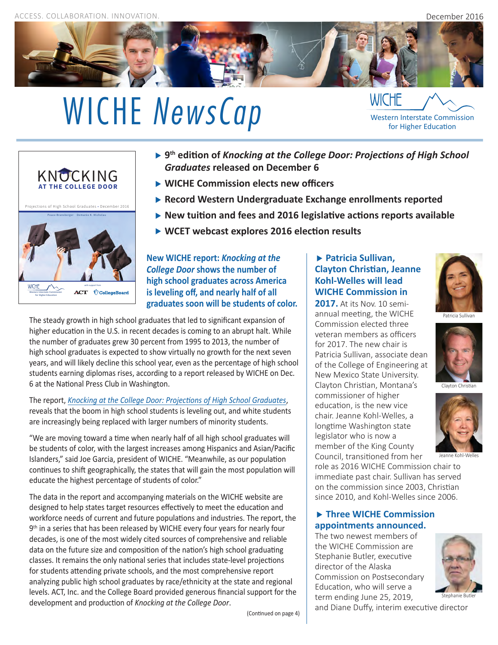ACCESS. COLLABORATION. INNOVATION.



# WICHE *NewsCap* WICHE **MEXANUSCAP** WICHE **WICHE WICHE WISCE** *WISCERY WISCERY WESTERN INTERSTATE COmmission* **for Higher Education**



- **9th edition of** *Knocking at the College Door: Projections of High School Graduates* **released on December 6**
- **WICHE Commission elects new officers**
- **Record Western Undergraduate Exchange enrollments reported**
- **New tuition and fees and 2016 legislative actions reports available**
- **WCET webcast explores 2016 election results**

**New WICHE report:** *Knocking at the College Door* **shows the number of high school graduates across America is leveling off, and nearly half of all graduates soon will be students of color.**

The steady growth in high school graduates that led to significant expansion of higher education in the U.S. in recent decades is coming to an abrupt halt. While the number of graduates grew 30 percent from 1995 to 2013, the number of high school graduates is expected to show virtually no growth for the next seven years, and will likely decline this school year, even as the percentage of high school students earning diplomas rises, according to a report released by WICHE on Dec. 6 at the National Press Club in Washington.

The report, *[Knocking at the College Door: Projections of High School Graduates](http://www.wiche.edu/knocking)*, reveals that the boom in high school students is leveling out, and white students are increasingly being replaced with larger numbers of minority students.

"We are moving toward a time when nearly half of all high school graduates will be students of color, with the largest increases among Hispanics and Asian/Pacific Islanders," said Joe Garcia, president of WICHE. "Meanwhile, as our population continues to shift geographically, the states that will gain the most population will educate the highest percentage of students of color."

The data in the report and accompanying materials on the WICHE website are designed to help states target resources effectively to meet the education and workforce needs of current and future populations and industries. The report, the 9<sup>th</sup> in a series that has been released by WICHE every four years for nearly four decades, is one of the most widely cited sources of comprehensive and reliable data on the future size and composition of the nation's high school graduating classes. It remains the only national series that includes state-level projections for students attending private schools, and the most comprehensive report analyzing public high school graduates by race/ethnicity at the state and regional levels. ACT, Inc. and the College Board provided generous financial support for the development and production of *Knocking at the College Door*.

### **Patricia Sullivan, Clayton Christian, Jeanne Kohl-Welles will lead WICHE Commission in**

**2017.** At its Nov. 10 semiannual meeting, the WICHE Commission elected three veteran members as officers for 2017. The new chair is Patricia Sullivan, associate dean of the College of Engineering at New Mexico State University. Clayton Christian, Montana's commissioner of higher education, is the new vice chair. Jeanne Kohl-Welles, a longtime Washington state legislator who is now a member of the King County Council, transitioned from her

Patricia Sullivan



Clayton Christian



Jeanne Kohl-Welles

role as 2016 WICHE Commission chair to immediate past chair. Sullivan has served on the commission since 2003, Christian since 2010, and Kohl-Welles since 2006.

#### **Three WICHE Commission appointments announced.**

The two newest members of the WICHE Commission are Stephanie Butler, executive director of the Alaska Commission on Postsecondary Education, who will serve a term ending June 25, 2019,



and Diane Duffy, interim executive director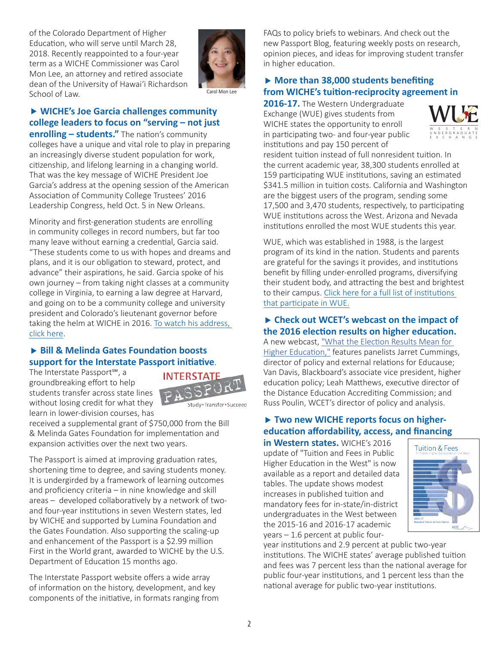of the Colorado Department of Higher Education, who will serve until March 28, 2018. Recently reappointed to a four-year term as a WICHE Commissioner was Carol Mon Lee, an attorney and retired associate dean of the University of Hawai'i Richardson School of Law.



#### Carol Mon Lee

# **WICHE's Joe Garcia challenges community college leaders to focus on "serving – not just**

**enrolling - students."** The nation's community colleges have a unique and vital role to play in preparing an increasingly diverse student population for work, citizenship, and lifelong learning in a changing world. That was the key message of WICHE President Joe Garcia's address at the opening session of the American Association of Community College Trustees' 2016 Leadership Congress, held Oct. 5 in New Orleans.

Minority and first-generation students are enrolling in community colleges in record numbers, but far too many leave without earning a credential, Garcia said. "These students come to us with hopes and dreams and plans, and it is our obligation to steward, protect, and advance" their aspirations, he said. Garcia spoke of his own journey – from taking night classes at a community college in Virginia, to earning a law degree at Harvard, and going on to be a community college and university president and Colorado's lieutenant governor before taking the helm at WICHE in 2016. [To watch his address,](https://vimeo.com/187222124)  [click here](https://vimeo.com/187222124).

#### ▶ Bill & Melinda Gates Foundation boosts **support for the Interstate Passport initiative**.

The Interstate Passport℠, a groundbreaking effort to help students transfer across state lines without losing credit for what they learn in lower-division courses, has



Study > Transfer > Succeed

received a supplemental grant of \$750,000 from the Bill & Melinda Gates Foundation for implementation and expansion activities over the next two years.

The Passport is aimed at improving graduation rates, shortening time to degree, and saving students money. It is undergirded by a framework of learning outcomes and proficiency criteria – in nine knowledge and skill areas – developed collaboratively by a network of twoand four-year institutions in seven Western states, led by WICHE and supported by Lumina Foundation and the Gates Foundation. Also supporting the scaling-up and enhancement of the Passport is a \$2.99 million First in the World grant, awarded to WICHE by the U.S. Department of Education 15 months ago.

The Interstate Passport website offers a wide array of information on the history, development, and key components of the initiative, in formats ranging from FAQs to policy briefs to webinars. And check out the new Passport Blog, featuring weekly posts on research, opinion pieces, and ideas for improving student transfer in higher education.

## **More than 38,000 students benefiting from WICHE's tuition-reciprocity agreement in**

2016-17. The Western Undergraduate Exchange (WUE) gives students from WICHE states the opportunity to enroll in participating two- and four-year public institutions and pay 150 percent of



resident tuition instead of full nonresident tuition. In the current academic year, 38,300 students enrolled at 159 participating WUE institutions, saving an estimated \$341.5 million in tuition costs. California and Washington are the biggest users of the program, sending some 17,500 and 3,470 students, respectively, to participating WUE institutions across the West. Arizona and Nevada institutions enrolled the most WUE students this year.

WUE, which was established in 1988, is the largest program of its kind in the nation. Students and parents are grateful for the savings it provides, and institutions benefit by filling under-enrolled programs, diversifying their student body, and attracting the best and brightest to their campus. [Click here for a full list of institutions](http://www.wiche.edu/wue)  [that participate in WUE.](http://www.wiche.edu/wue)

#### **Check out WCET's webcast on the impact of the 2016 election results on higher education.**

A new webcast, ["What the Election Results Mean for](http://wcet.wiche.edu/events/webcasts/Election-Results-Higher-Ed)  [Higher Education,"](http://wcet.wiche.edu/events/webcasts/Election-Results-Higher-Ed) features panelists Jarret Cummings, director of policy and external relations for Educause; Van Davis, Blackboard's associate vice president, higher education policy; Leah Matthews, executive director of the Distance Education Accrediting Commission; and Russ Poulin, WCET's director of policy and analysis.

#### ▶ Two new WICHE reports focus on higher**education affordability, access, and financing**

**in Western states.** WICHE's 2016 update of "Tuition and Fees in Public Higher Education in the West" is now available as a report and detailed data tables. The update shows modest increases in published tuition and mandatory fees for in-state/in-district undergraduates in the West between the 2015-16 and 2016-17 academic years – 1.6 percent at public four-



year institutions and 2.9 percent at public two-year institutions. The WICHE states' average published tuition and fees was 7 percent less than the national average for public four-year institutions, and 1 percent less than the national average for public two-year institutions.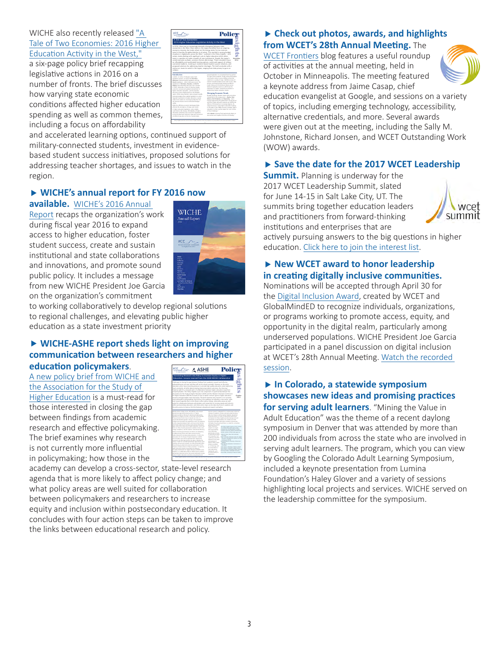WICHE also recently released ["A](http://www.wiche.edu/pub/tale-two-economies-2016-higher-education-legislative-activity-west)  [Tale of Two Economies: 2016 Higher](http://www.wiche.edu/pub/tale-two-economies-2016-higher-education-legislative-activity-west)  [Education Activity in the West,"](http://www.wiche.edu/pub/tale-two-economies-2016-higher-education-legislative-activity-west)

a six-page policy brief recapping legislative actions in 2016 on a number of fronts. The brief discusses how varying state economic conditions affected higher education spending as well as common themes, including a focus on affordability



and accelerated learning options, continued support of military-connected students, investment in evidencebased student success initiatives, proposed solutions for addressing teacher shortages, and issues to watch in the region.

#### **WICHE's annual report for FY 2016 now**

**available.** [WICHE's 2016 Annual](http://wiche.edu/pub/wiche-2016-Annual-Report) 

[Report](http://wiche.edu/pub/wiche-2016-Annual-Report) recaps the organization's work during fiscal year 2016 to expand access to higher education, foster student success, create and sustain institutional and state collaborations and innovations, and promote sound public policy. It includes a message from new WICHE President Joe Garcia on the organization's commitment



to working collaboratively to develop regional solutions to regional challenges, and elevating public higher education as a state investment priority

#### **WICHE-ASHE report sheds light on improving communication between researchers and higher education policymakers**.

A [new policy brief from WICHE and](http://www.wiche.edu/pub/translating-research-into-policy)  [the Association for the Study of](http://www.wiche.edu/pub/translating-research-into-policy)  [Higher Education](http://www.wiche.edu/pub/translating-research-into-policy) is a must-read for those interested in closing the gap between findings from academic research and effective policymaking. The brief examines why research is not currently more influential in policymaking; how those in the



academy can develop a cross-sector, state-level research agenda that is more likely to affect policy change; and what policy areas are well suited for collaboration between policymakers and researchers to increase equity and inclusion within postsecondary education. It concludes with four action steps can be taken to improve the links between educational research and policy.

### **Check out photos, awards, and highlights from WCET's 28th Annual Meeting.** The

[WCET Frontiers](https://wcetfrontiers.org/2016/10/20/wcet16/) blog features a useful roundup of activities at the annual meeting, held in October in Minneapolis. The meeting featured a keynote address from Jaime Casap, chief



education evangelist at Google, and sessions on a variety of topics, including emerging technology, accessibility, alternative credentials, and more. Several awards were given out at the meeting, including the Sally M. Johnstone, Richard Jonsen, and WCET Outstanding Work (WOW) awards.

### ▶ Save the date for the 2017 WCET Leadership

**Summit.** Planning is underway for the 2017 WCET Leadership Summit, slated for June 14-15 in Salt Lake City, UT. The summits bring together education leaders and practitioners from forward-thinking institutions and enterprises that are



actively pursuing answers to the big questions in higher education. [Click here to join the interest list](http://wcet.wiche.edu/events/summits).

#### **New WCET award to honor leadership in creating digitally inclusive communities.**

Nominations will be accepted through April 30 for the [Digital Inclusion Award](http://wcet.wiche.edu/initiatives/wcet-awards/digital-inclusion), created by WCET and GlobalMindED to recognize individuals, organizations, or programs working to promote access, equity, and opportunity in the digital realm, particularly among underserved populations. WICHE President Joe Garcia participated in a panel discussion on digital inclusion at WCET's 28th Annual Meeting. [Watch the recorded](http://events7.mediasite.com/Mediasite/Play/9cacc2ea62324a90a37976abc83cbf2b1d?catalog=0ab42012-dfa9-4d7f-b597-3ffeafeff513)  [session](http://events7.mediasite.com/Mediasite/Play/9cacc2ea62324a90a37976abc83cbf2b1d?catalog=0ab42012-dfa9-4d7f-b597-3ffeafeff513).

# **In Colorado, a statewide symposium showcases new ideas and promising practices**

**for serving adult learners**. "Mining the Value in Adult Education" was the theme of a recent daylong symposium in Denver that was attended by more than 200 individuals from across the state who are involved in serving adult learners. The program, which you can view by Googling the Colorado Adult Learning Symposium, included a keynote presentation from Lumina Foundation's Haley Glover and a variety of sessions highlighting local projects and services. WICHE served on the leadership committee for the symposium.